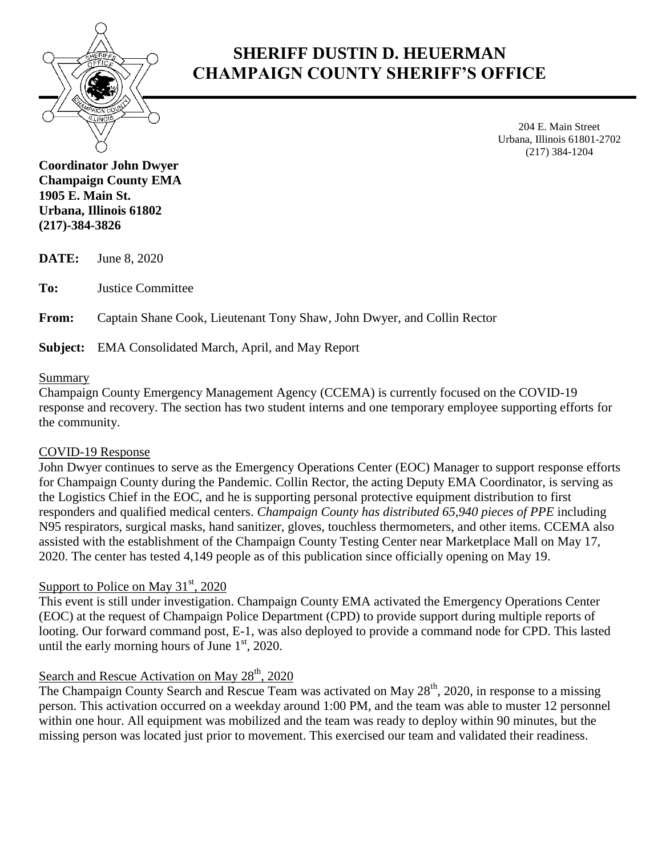

# **SHERIFF DUSTIN D. HEUERMAN CHAMPAIGN COUNTY SHERIFF'S OFFICE**

204 E. Main Street Urbana, Illinois 61801-2702 (217) 384-1204

**Coordinator John Dwyer Champaign County EMA 1905 E. Main St. Urbana, Illinois 61802 (217)-384-3826**

**DATE:** June 8, 2020

**To:** Justice Committee

**From:** Captain Shane Cook, Lieutenant Tony Shaw, John Dwyer, and Collin Rector

**Subject:** EMA Consolidated March, April, and May Report

#### Summary

Champaign County Emergency Management Agency (CCEMA) is currently focused on the COVID-19 response and recovery. The section has two student interns and one temporary employee supporting efforts for the community.

#### COVID-19 Response

John Dwyer continues to serve as the Emergency Operations Center (EOC) Manager to support response efforts for Champaign County during the Pandemic. Collin Rector, the acting Deputy EMA Coordinator, is serving as the Logistics Chief in the EOC, and he is supporting personal protective equipment distribution to first responders and qualified medical centers. *Champaign County has distributed 65,940 pieces of PPE* including N95 respirators, surgical masks, hand sanitizer, gloves, touchless thermometers, and other items. CCEMA also assisted with the establishment of the Champaign County Testing Center near Marketplace Mall on May 17, 2020. The center has tested 4,149 people as of this publication since officially opening on May 19.

## Support to Police on May  $31<sup>st</sup>$ , 2020

This event is still under investigation. Champaign County EMA activated the Emergency Operations Center (EOC) at the request of Champaign Police Department (CPD) to provide support during multiple reports of looting. Our forward command post, E-1, was also deployed to provide a command node for CPD. This lasted until the early morning hours of June  $1<sup>st</sup>$ , 2020.

### Search and Rescue Activation on May  $28<sup>th</sup>$ , 2020

The Champaign County Search and Rescue Team was activated on May 28<sup>th</sup>, 2020, in response to a missing person. This activation occurred on a weekday around 1:00 PM, and the team was able to muster 12 personnel within one hour. All equipment was mobilized and the team was ready to deploy within 90 minutes, but the missing person was located just prior to movement. This exercised our team and validated their readiness.